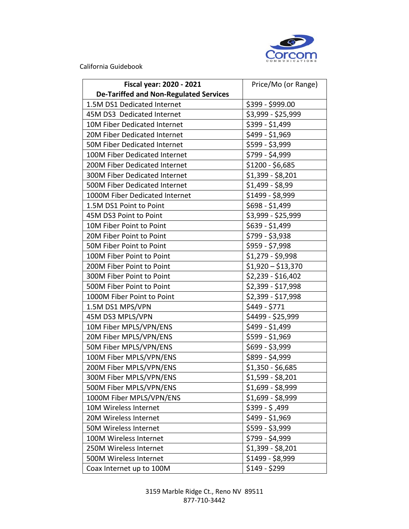

California Guidebook

| Fiscal year: 2020 - 2021                      | Price/Mo (or Range) |
|-----------------------------------------------|---------------------|
| <b>De-Tariffed and Non-Regulated Services</b> |                     |
| 1.5M DS1 Dedicated Internet                   | \$399 - \$999.00    |
| 45M DS3 Dedicated Internet                    | \$3,999 - \$25,999  |
| 10M Fiber Dedicated Internet                  | \$399 - \$1,499     |
| 20M Fiber Dedicated Internet                  | \$499 - \$1,969     |
| 50M Fiber Dedicated Internet                  | \$599 - \$3,999     |
| 100M Fiber Dedicated Internet                 | \$799 - \$4,999     |
| 200M Fiber Dedicated Internet                 | \$1200 - \$6,685    |
| 300M Fiber Dedicated Internet                 | $$1,399 - $8,201$   |
| 500M Fiber Dedicated Internet                 | \$1,499 - \$8,99    |
| 1000M Fiber Dedicated Internet                | \$1499 - \$8,999    |
| 1.5M DS1 Point to Point                       | \$698 - \$1,499     |
| 45M DS3 Point to Point                        | \$3,999 - \$25,999  |
| 10M Fiber Point to Point                      | \$639 - \$1,499     |
| 20M Fiber Point to Point                      | \$799 - \$3,938     |
| 50M Fiber Point to Point                      | \$959 - \$7,998     |
| 100M Fiber Point to Point                     | \$1,279 - \$9,998   |
| 200M Fiber Point to Point                     | $$1,920 - $13,370$  |
| 300M Fiber Point to Point                     | \$2,239 - \$16,402  |
| 500M Fiber Point to Point                     | \$2,399 - \$17,998  |
| 1000M Fiber Point to Point                    | \$2,399 - \$17,998  |
| 1.5M DS1 MPS/VPN                              | \$449 - \$771       |
| 45M DS3 MPLS/VPN                              | \$4499 - \$25,999   |
| 10M Fiber MPLS/VPN/ENS                        | \$499 - \$1,499     |
| 20M Fiber MPLS/VPN/ENS                        | \$599 - \$1,969     |
| 50M Fiber MPLS/VPN/ENS                        | \$699 - \$3,999     |
| 100M Fiber MPLS/VPN/ENS                       | \$899 - \$4,999     |
| 200M Fiber MPLS/VPN/ENS                       | \$1,350 - \$6,685   |
| 300M Fiber MPLS/VPN/ENS                       | \$1,599 - \$8,201   |
| 500M Fiber MPLS/VPN/ENS                       | \$1,699 - \$8,999   |
| 1000M Fiber MPLS/VPN/ENS                      | $$1,699 - $8,999$   |
| 10M Wireless Internet                         | $$399 - $,499$      |
| 20M Wireless Internet                         | \$499 - \$1,969     |
| 50M Wireless Internet                         | \$599 - \$3,999     |
| 100M Wireless Internet                        | \$799 - \$4,999     |
| 250M Wireless Internet                        | $$1,399 - $8,201$   |
| 500M Wireless Internet                        | \$1499 - \$8,999    |
| Coax Internet up to 100M                      | $$149 - $299$       |